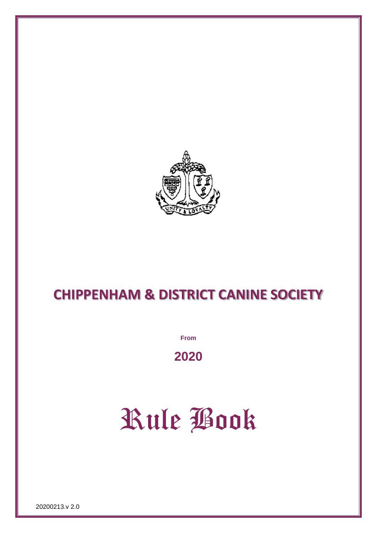

# **CHIPPENHAM & DISTRICT CANINE SOCIETY**

**From**

**2020**

# Rule Book

20200213.v 2.0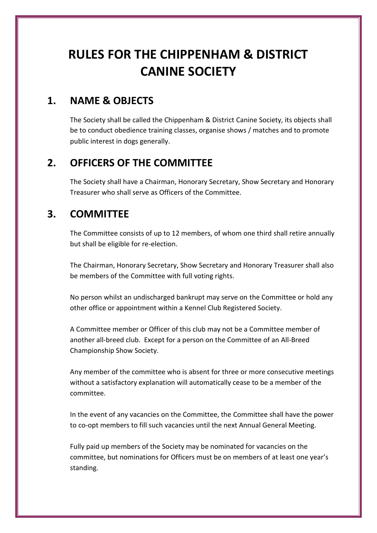# **RULES FOR THE CHIPPENHAM & DISTRICT CANINE SOCIETY**

# **1. NAME & OBJECTS**

The Society shall be called the Chippenham & District Canine Society, its objects shall be to conduct obedience training classes, organise shows / matches and to promote public interest in dogs generally.

# **2. OFFICERS OF THE COMMITTEE**

The Society shall have a Chairman, Honorary Secretary, Show Secretary and Honorary Treasurer who shall serve as Officers of the Committee.

# **3. COMMITTEE**

The Committee consists of up to 12 members, of whom one third shall retire annually but shall be eligible for re-election.

The Chairman, Honorary Secretary, Show Secretary and Honorary Treasurer shall also be members of the Committee with full voting rights.

No person whilst an undischarged bankrupt may serve on the Committee or hold any other office or appointment within a Kennel Club Registered Society.

A Committee member or Officer of this club may not be a Committee member of another all-breed club. Except for a person on the Committee of an All-Breed Championship Show Society.

Any member of the committee who is absent for three or more consecutive meetings without a satisfactory explanation will automatically cease to be a member of the committee.

In the event of any vacancies on the Committee, the Committee shall have the power to co-opt members to fill such vacancies until the next Annual General Meeting.

Fully paid up members of the Society may be nominated for vacancies on the committee, but nominations for Officers must be on members of at least one year's standing.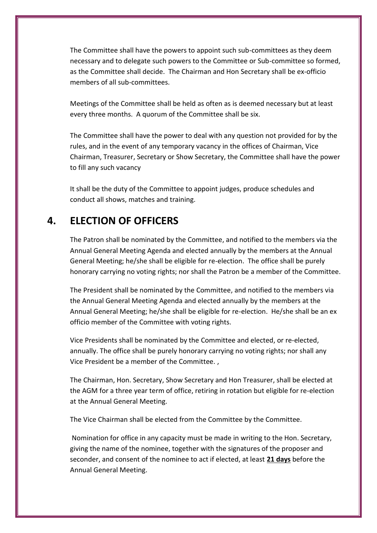The Committee shall have the powers to appoint such sub-committees as they deem necessary and to delegate such powers to the Committee or Sub-committee so formed, as the Committee shall decide. The Chairman and Hon Secretary shall be ex-officio members of all sub-committees.

Meetings of the Committee shall be held as often as is deemed necessary but at least every three months. A quorum of the Committee shall be six.

The Committee shall have the power to deal with any question not provided for by the rules, and in the event of any temporary vacancy in the offices of Chairman, Vice Chairman, Treasurer, Secretary or Show Secretary, the Committee shall have the power to fill any such vacancy

It shall be the duty of the Committee to appoint judges, produce schedules and conduct all shows, matches and training.

# **4. ELECTION OF OFFICERS**

The Patron shall be nominated by the Committee, and notified to the members via the Annual General Meeting Agenda and elected annually by the members at the Annual General Meeting; he/she shall be eligible for re-election. The office shall be purely honorary carrying no voting rights; nor shall the Patron be a member of the Committee.

The President shall be nominated by the Committee, and notified to the members via the Annual General Meeting Agenda and elected annually by the members at the Annual General Meeting; he/she shall be eligible for re-election. He/she shall be an ex officio member of the Committee with voting rights.

Vice Presidents shall be nominated by the Committee and elected, or re-elected, annually. The office shall be purely honorary carrying no voting rights; nor shall any Vice President be a member of the Committee. ,

The Chairman, Hon. Secretary, Show Secretary and Hon Treasurer, shall be elected at the AGM for a three year term of office, retiring in rotation but eligible for re-election at the Annual General Meeting.

The Vice Chairman shall be elected from the Committee by the Committee.

Nomination for office in any capacity must be made in writing to the Hon. Secretary, giving the name of the nominee, together with the signatures of the proposer and seconder, and consent of the nominee to act if elected, at least **21 days** before the Annual General Meeting.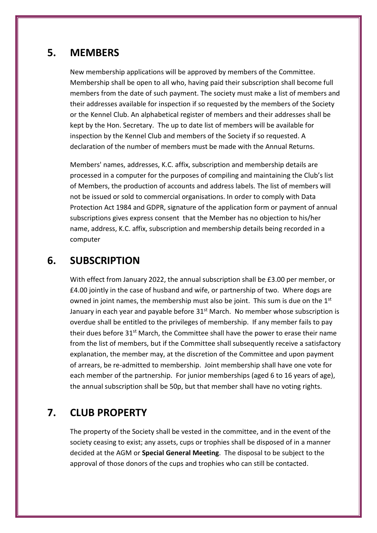#### **5. MEMBERS**

New membership applications will be approved by members of the Committee. Membership shall be open to all who, having paid their subscription shall become full members from the date of such payment. The society must make a list of members and their addresses available for inspection if so requested by the members of the Society or the Kennel Club. An alphabetical register of members and their addresses shall be kept by the Hon. Secretary. The up to date list of members will be available for inspection by the Kennel Club and members of the Society if so requested. A declaration of the number of members must be made with the Annual Returns.

Members' names, addresses, K.C. affix, subscription and membership details are processed in a computer for the purposes of compiling and maintaining the Club's list of Members, the production of accounts and address labels. The list of members will not be issued or sold to commercial organisations. In order to comply with Data Protection Act 1984 and GDPR, signature of the application form or payment of annual subscriptions gives express consent that the Member has no objection to his/her name, address, K.C. affix, subscription and membership details being recorded in a computer

#### **6. SUBSCRIPTION**

With effect from January 2022, the annual subscription shall be £3.00 per member, or £4.00 jointly in the case of husband and wife, or partnership of two. Where dogs are owned in joint names, the membership must also be joint. This sum is due on the 1<sup>st</sup> January in each year and payable before 31<sup>st</sup> March. No member whose subscription is overdue shall be entitled to the privileges of membership. If any member fails to pay their dues before 31<sup>st</sup> March, the Committee shall have the power to erase their name from the list of members, but if the Committee shall subsequently receive a satisfactory explanation, the member may, at the discretion of the Committee and upon payment of arrears, be re-admitted to membership. Joint membership shall have one vote for each member of the partnership. For junior memberships (aged 6 to 16 years of age), the annual subscription shall be 50p, but that member shall have no voting rights.

# **7. CLUB PROPERTY**

The property of the Society shall be vested in the committee, and in the event of the society ceasing to exist; any assets, cups or trophies shall be disposed of in a manner decided at the AGM or **Special General Meeting**. The disposal to be subject to the approval of those donors of the cups and trophies who can still be contacted.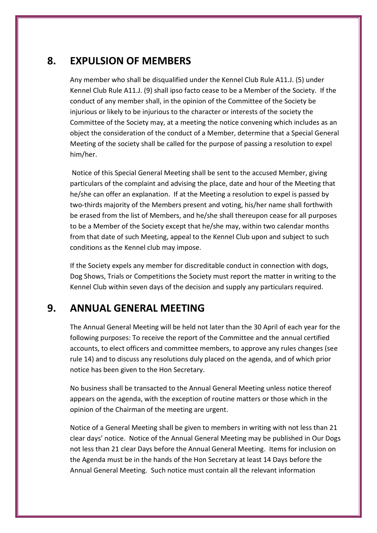#### **8. EXPULSION OF MEMBERS**

Any member who shall be disqualified under the Kennel Club Rule A11.J. (5) under Kennel Club Rule A11.J. (9) shall ipso facto cease to be a Member of the Society. If the conduct of any member shall, in the opinion of the Committee of the Society be injurious or likely to be injurious to the character or interests of the society the Committee of the Society may, at a meeting the notice convening which includes as an object the consideration of the conduct of a Member, determine that a Special General Meeting of the society shall be called for the purpose of passing a resolution to expel him/her.

Notice of this Special General Meeting shall be sent to the accused Member, giving particulars of the complaint and advising the place, date and hour of the Meeting that he/she can offer an explanation. If at the Meeting a resolution to expel is passed by two-thirds majority of the Members present and voting, his/her name shall forthwith be erased from the list of Members, and he/she shall thereupon cease for all purposes to be a Member of the Society except that he/she may, within two calendar months from that date of such Meeting, appeal to the Kennel Club upon and subject to such conditions as the Kennel club may impose.

If the Society expels any member for discreditable conduct in connection with dogs, Dog Shows, Trials or Competitions the Society must report the matter in writing to the Kennel Club within seven days of the decision and supply any particulars required.

## **9. ANNUAL GENERAL MEETING**

The Annual General Meeting will be held not later than the 30 April of each year for the following purposes: To receive the report of the Committee and the annual certified accounts, to elect officers and committee members, to approve any rules changes (see rule 14) and to discuss any resolutions duly placed on the agenda, and of which prior notice has been given to the Hon Secretary.

No business shall be transacted to the Annual General Meeting unless notice thereof appears on the agenda, with the exception of routine matters or those which in the opinion of the Chairman of the meeting are urgent.

Notice of a General Meeting shall be given to members in writing with not less than 21 clear days' notice. Notice of the Annual General Meeting may be published in Our Dogs not less than 21 clear Days before the Annual General Meeting. Items for inclusion on the Agenda must be in the hands of the Hon Secretary at least 14 Days before the Annual General Meeting. Such notice must contain all the relevant information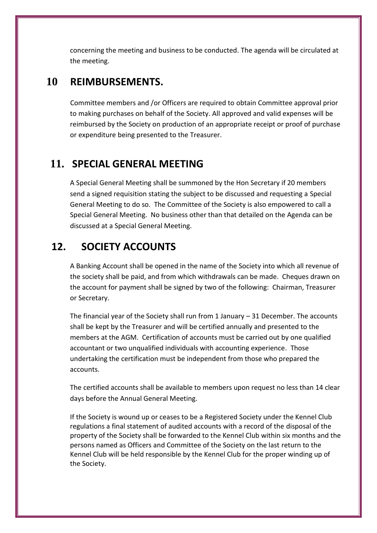concerning the meeting and business to be conducted. The agenda will be circulated at the meeting.

#### **10 REIMBURSEMENTS.**

Committee members and /or Officers are required to obtain Committee approval prior to making purchases on behalf of the Society. All approved and valid expenses will be reimbursed by the Society on production of an appropriate receipt or proof of purchase or expenditure being presented to the Treasurer.

# **11. SPECIAL GENERAL MEETING**

A Special General Meeting shall be summoned by the Hon Secretary if 20 members send a signed requisition stating the subject to be discussed and requesting a Special General Meeting to do so. The Committee of the Society is also empowered to call a Special General Meeting. No business other than that detailed on the Agenda can be discussed at a Special General Meeting.

# **12. SOCIETY ACCOUNTS**

A Banking Account shall be opened in the name of the Society into which all revenue of the society shall be paid, and from which withdrawals can be made. Cheques drawn on the account for payment shall be signed by two of the following: Chairman, Treasurer or Secretary.

The financial year of the Society shall run from 1 January – 31 December. The accounts shall be kept by the Treasurer and will be certified annually and presented to the members at the AGM. Certification of accounts must be carried out by one qualified accountant or two unqualified individuals with accounting experience. Those undertaking the certification must be independent from those who prepared the accounts.

The certified accounts shall be available to members upon request no less than 14 clear days before the Annual General Meeting.

If the Society is wound up or ceases to be a Registered Society under the Kennel Club regulations a final statement of audited accounts with a record of the disposal of the property of the Society shall be forwarded to the Kennel Club within six months and the persons named as Officers and Committee of the Society on the last return to the Kennel Club will be held responsible by the Kennel Club for the proper winding up of the Society.